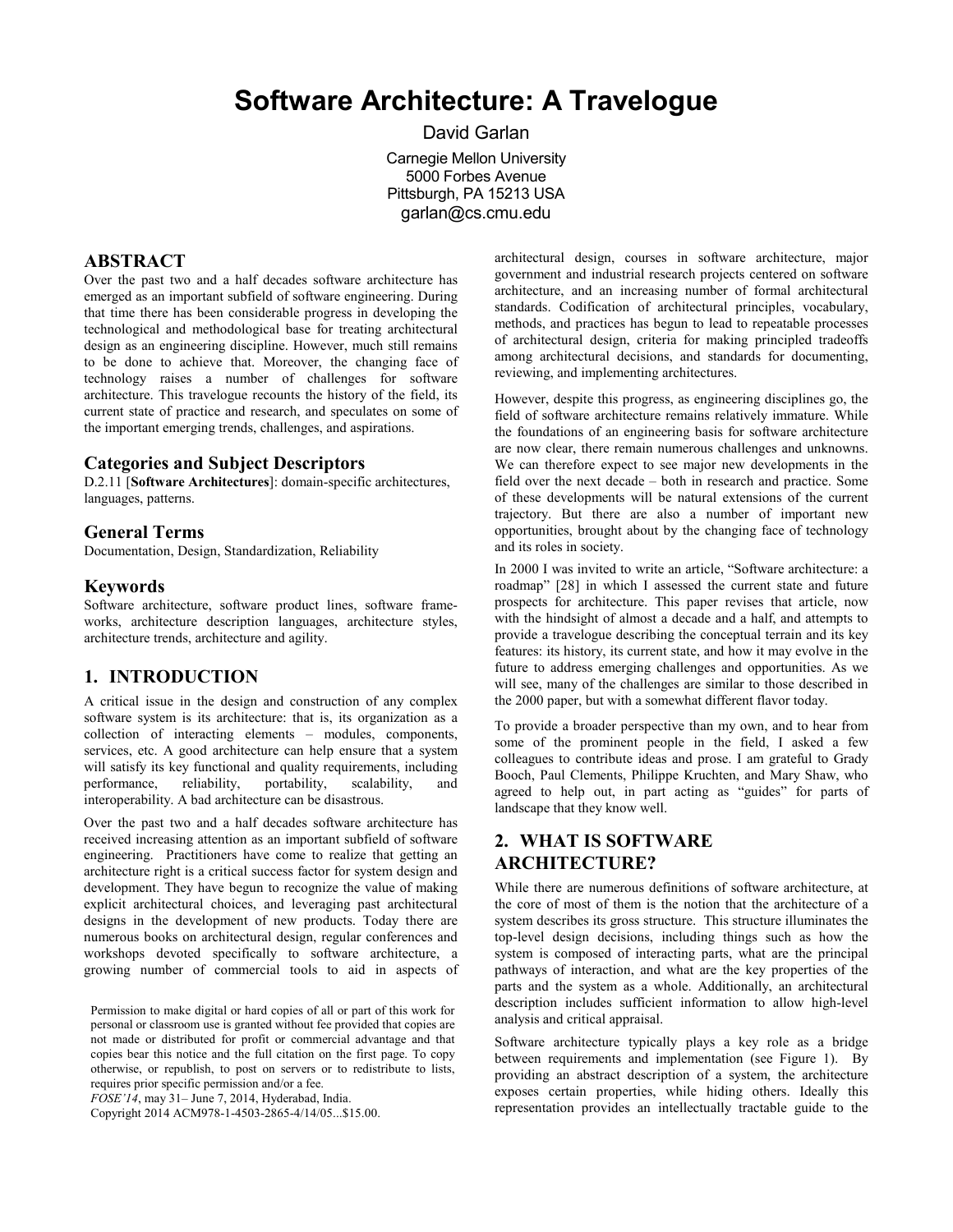# **Software Architecture: A Travelogue**

David Garlan Carnegie Mellon University 5000 Forbes Avenue Pittsburgh, PA 15213 USA garlan@cs.cmu.edu

#### **ABSTRACT**

Over the past two and a half decades software architecture has emerged as an important subfield of software engineering. During that time there has been considerable progress in developing the technological and methodological base for treating architectural design as an engineering discipline. However, much still remains to be done to achieve that. Moreover, the changing face of technology raises a number of challenges for software architecture. This travelogue recounts the history of the field, its current state of practice and research, and speculates on some of the important emerging trends, challenges, and aspirations.

#### **Categories and Subject Descriptors**

D.2.11 [**Software Architectures**]: domain-specific architectures, languages, patterns.

#### **General Terms**

Documentation, Design, Standardization, Reliability

#### **Keywords**

Software architecture, software product lines, software frameworks, architecture description languages, architecture styles, architecture trends, architecture and agility.

#### **1. INTRODUCTION**

A critical issue in the design and construction of any complex software system is its architecture: that is, its organization as a collection of interacting elements – modules, components, services, etc. A good architecture can help ensure that a system will satisfy its key functional and quality requirements, including performance, reliability, portability, scalability, and interoperability. A bad architecture can be disastrous.

Over the past two and a half decades software architecture has received increasing attention as an important subfield of software engineering. Practitioners have come to realize that getting an architecture right is a critical success factor for system design and development. They have begun to recognize the value of making explicit architectural choices, and leveraging past architectural designs in the development of new products. Today there are numerous books on architectural design, regular conferences and workshops devoted specifically to software architecture, a growing number of commercial tools to aid in aspects of

Permission to make digital or hard copies of all or part of this work for personal or classroom use is granted without fee provided that copies are not made or distributed for profit or commercial advantage and that copies bear this notice and the full citation on the first page. To copy otherwise, or republish, to post on servers or to redistribute to lists, requires prior specific permission and/or a fee.

*FOSE'14*, may 31– June 7, 2014, Hyderabad, India.

Copyright 2014 ACM978-1-4503-2865-4/14/05...\$15.00.

architectural design, courses in software architecture, major government and industrial research projects centered on software architecture, and an increasing number of formal architectural standards. Codification of architectural principles, vocabulary, methods, and practices has begun to lead to repeatable processes of architectural design, criteria for making principled tradeoffs among architectural decisions, and standards for documenting, reviewing, and implementing architectures.

However, despite this progress, as engineering disciplines go, the field of software architecture remains relatively immature. While the foundations of an engineering basis for software architecture are now clear, there remain numerous challenges and unknowns. We can therefore expect to see major new developments in the field over the next decade – both in research and practice. Some of these developments will be natural extensions of the current trajectory. But there are also a number of important new opportunities, brought about by the changing face of technology and its roles in society.

In 2000 I was invited to write an article, "Software architecture: a roadmap" [\[28\]](#page-9-0) in which I assessed the current state and future prospects for architecture. This paper revises that article, now with the hindsight of almost a decade and a half, and attempts to provide a travelogue describing the conceptual terrain and its key features: its history, its current state, and how it may evolve in the future to address emerging challenges and opportunities. As we will see, many of the challenges are similar to those described in the 2000 paper, but with a somewhat different flavor today.

To provide a broader perspective than my own, and to hear from some of the prominent people in the field, I asked a few colleagues to contribute ideas and prose. I am grateful to Grady Booch, Paul Clements, Philippe Kruchten, and Mary Shaw, who agreed to help out, in part acting as "guides" for parts of landscape that they know well.

# **2. WHAT IS SOFTWARE ARCHITECTURE?**

While there are numerous definitions of software architecture, at the core of most of them is the notion that the architecture of a system describes its gross structure. This structure illuminates the top-level design decisions, including things such as how the system is composed of interacting parts, what are the principal pathways of interaction, and what are the key properties of the parts and the system as a whole. Additionally, an architectural description includes sufficient information to allow high-level analysis and critical appraisal.

Software architecture typically plays a key role as a bridge between requirements and implementation (see [Figure 1\)](#page-1-0). By providing an abstract description of a system, the architecture exposes certain properties, while hiding others. Ideally this representation provides an intellectually tractable guide to the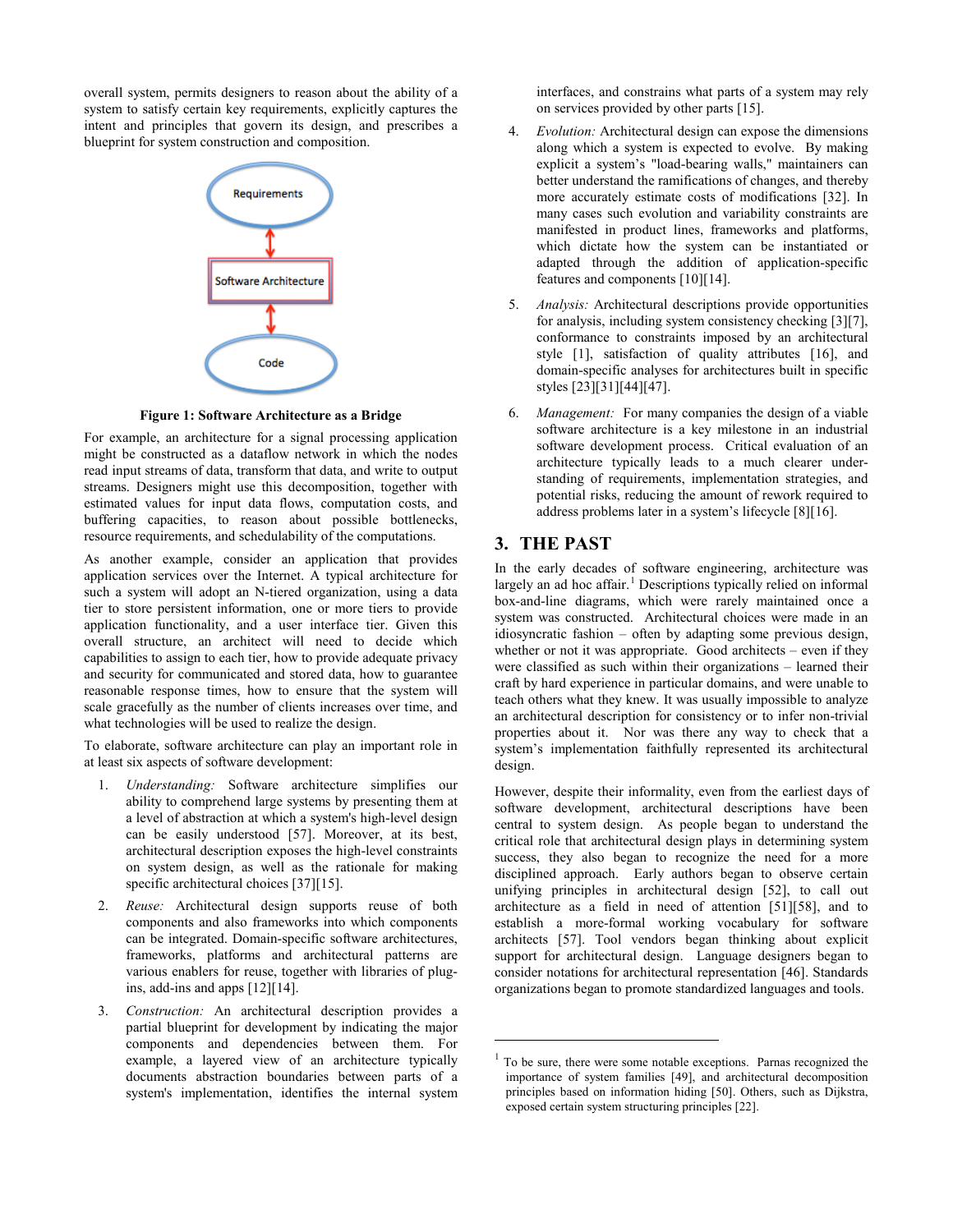overall system, permits designers to reason about the ability of a system to satisfy certain key requirements, explicitly captures the intent and principles that govern its design, and prescribes a blueprint for system construction and composition.



**Figure 1: Software Architecture as a Bridge**

<span id="page-1-0"></span>For example, an architecture for a signal processing application might be constructed as a dataflow network in which the nodes read input streams of data, transform that data, and write to output streams. Designers might use this decomposition, together with estimated values for input data flows, computation costs, and buffering capacities, to reason about possible bottlenecks, resource requirements, and schedulability of the computations.

As another example, consider an application that provides application services over the Internet. A typical architecture for such a system will adopt an N-tiered organization, using a data tier to store persistent information, one or more tiers to provide application functionality, and a user interface tier. Given this overall structure, an architect will need to decide which capabilities to assign to each tier, how to provide adequate privacy and security for communicated and stored data, how to guarantee reasonable response times, how to ensure that the system will scale gracefully as the number of clients increases over time, and what technologies will be used to realize the design.

To elaborate, software architecture can play an important role in at least six aspects of software development:

- 1. *Understanding:* Software architecture simplifies our ability to comprehend large systems by presenting them at a level of abstraction at which a system's high-level design can be easily understood [\[57\].](#page-10-0) Moreover, at its best, architectural description exposes the high-level constraints on system design, as well as the rationale for making specific architectural choices [\[37\]\[15\].](#page-10-1)
- 2. *Reuse:* Architectural design supports reuse of both components and also frameworks into which components can be integrated. Domain-specific software architectures, frameworks, platforms and architectural patterns are various enablers for reuse, together with libraries of plugins, add-ins and apps [\[12\]\[14\].](#page-9-1)
- <span id="page-1-1"></span>3. *Construction:* An architectural description provides a partial blueprint for development by indicating the major components and dependencies between them. For example, a layered view of an architecture typically documents abstraction boundaries between parts of a system's implementation, identifies the internal system

interfaces, and constrains what parts of a system may rely on services provided by other parts [\[15\].](#page-9-2)

- 4. *Evolution:* Architectural design can expose the dimensions along which a system is expected to evolve. By making explicit a system's "load-bearing walls," maintainers can better understand the ramifications of changes, and thereby more accurately estimate costs of modifications [\[32\].](#page-9-3) In many cases such evolution and variability constraints are manifested in product lines, frameworks and platforms, which dictate how the system can be instantiated or adapted through the addition of application-specific features and component[s \[10\]\[14\].](#page-9-4)
- 5. *Analysis:* Architectural descriptions provide opportunities for analysis, including system consistency checking [\[3\]\[7\],](#page-8-0)  conformance to constraints imposed by an architectural style [\[1\],](#page-8-1) satisfaction of quality attributes [\[16\],](#page-9-5) and domain-specific analyses for architectures built in specific style[s \[23\]\[31\]](#page-9-6)[\[44\]\[47\].](#page-10-2)
- 6. *Management:* For many companies the design of a viable software architecture is a key milestone in an industrial software development process. Critical evaluation of an architecture typically leads to a much clearer understanding of requirements, implementation strategies, and potential risks, reducing the amount of rework required to address problems later in a system's lifecycle [\[8\]\[16\].](#page-9-7)

## **3. THE PAST**

1

In the early decades of software engineering, architecture was largely an ad hoc affair.<sup>[1](#page-1-1)</sup> Descriptions typically relied on informal box-and-line diagrams, which were rarely maintained once a system was constructed. Architectural choices were made in an idiosyncratic fashion – often by adapting some previous design, whether or not it was appropriate. Good architects – even if they were classified as such within their organizations – learned their craft by hard experience in particular domains, and were unable to teach others what they knew. It was usually impossible to analyze an architectural description for consistency or to infer non-trivial properties about it. Nor was there any way to check that a system's implementation faithfully represented its architectural design.

However, despite their informality, even from the earliest days of software development, architectural descriptions have been central to system design. As people began to understand the critical role that architectural design plays in determining system success, they also began to recognize the need for a more disciplined approach. Early authors began to observe certain unifying principles in architectural design [\[52\],](#page-10-3) to call out architecture as a field in need of attention [\[51\]\[58\],](#page-10-4) and to establish a more-formal working vocabulary for software architects [\[57\].](#page-10-0) Tool vendors began thinking about explicit support for architectural design. Language designers began to consider notations for architectural representation [\[46\].](#page-10-5) Standards organizations began to promote standardized languages and tools.

<sup>&</sup>lt;sup>1</sup> To be sure, there were some notable exceptions. Parnas recognized the importance of system families [\[49\],](#page-10-6) and architectural decomposition principles based on information hiding [\[50\].](#page-10-7) Others, such as Dijkstra, exposed certain system structuring principle[s \[22\].](#page-9-8)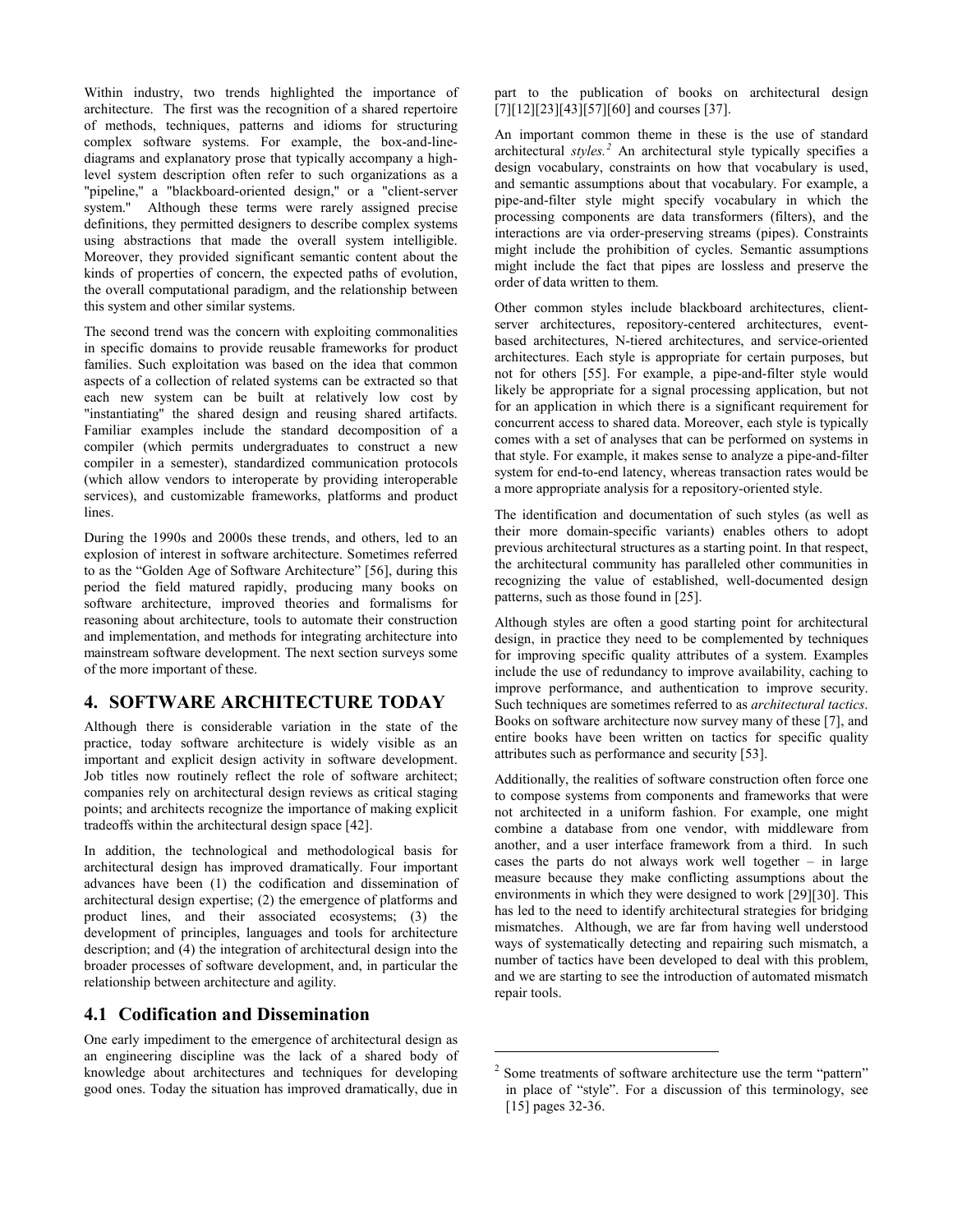Within industry, two trends highlighted the importance of architecture. The first was the recognition of a shared repertoire of methods, techniques, patterns and idioms for structuring complex software systems. For example, the box-and-linediagrams and explanatory prose that typically accompany a highlevel system description often refer to such organizations as a "pipeline,'' a "blackboard-oriented design,'' or a "client-server system.'' Although these terms were rarely assigned precise definitions, they permitted designers to describe complex systems using abstractions that made the overall system intelligible. Moreover, they provided significant semantic content about the kinds of properties of concern, the expected paths of evolution, the overall computational paradigm, and the relationship between this system and other similar systems.

The second trend was the concern with exploiting commonalities in specific domains to provide reusable frameworks for product families. Such exploitation was based on the idea that common aspects of a collection of related systems can be extracted so that each new system can be built at relatively low cost by "instantiating'' the shared design and reusing shared artifacts. Familiar examples include the standard decomposition of a compiler (which permits undergraduates to construct a new compiler in a semester), standardized communication protocols (which allow vendors to interoperate by providing interoperable services), and customizable frameworks, platforms and product lines.

During the 1990s and 2000s these trends, and others, led to an explosion of interest in software architecture. Sometimes referred to as the "Golden Age of Software Architecture" [\[56\],](#page-10-8) during this period the field matured rapidly, producing many books on software architecture, improved theories and formalisms for reasoning about architecture, tools to automate their construction and implementation, and methods for integrating architecture into mainstream software development. The next section surveys some of the more important of these.

## **4. SOFTWARE ARCHITECTURE TODAY**

Although there is considerable variation in the state of the practice, today software architecture is widely visible as an important and explicit design activity in software development. Job titles now routinely reflect the role of software architect; companies rely on architectural design reviews as critical staging points; and architects recognize the importance of making explicit tradeoffs within the architectural design space [\[42\].](#page-10-9)

In addition, the technological and methodological basis for architectural design has improved dramatically. Four important advances have been (1) the codification and dissemination of architectural design expertise; (2) the emergence of platforms and product lines, and their associated ecosystems; (3) the development of principles, languages and tools for architecture description; and (4) the integration of architectural design into the broader processes of software development, and, in particular the relationship between architecture and agility.

## **4.1 Codification and Dissemination**

<span id="page-2-0"></span>One early impediment to the emergence of architectural design as an engineering discipline was the lack of a shared body of knowledge about architectures and techniques for developing good ones. Today the situation has improved dramatically, due in

part to the publication of books on architectural design [\[7\]\[12\]](#page-9-9)[\[23\]\[43\]](#page-9-6)[\[57\]\[60\]](#page-10-0) and course[s \[37\].](#page-10-1)

An important common theme in these is the use of standard architectural *styles. [2](#page-2-0)* An architectural style typically specifies a design vocabulary, constraints on how that vocabulary is used, and semantic assumptions about that vocabulary. For example, a pipe-and-filter style might specify vocabulary in which the processing components are data transformers (filters), and the interactions are via order-preserving streams (pipes). Constraints might include the prohibition of cycles. Semantic assumptions might include the fact that pipes are lossless and preserve the order of data written to them.

Other common styles include blackboard architectures, clientserver architectures, repository-centered architectures, eventbased architectures, N-tiered architectures, and service-oriented architectures. Each style is appropriate for certain purposes, but not for others [\[55\].](#page-10-10) For example, a pipe-and-filter style would likely be appropriate for a signal processing application, but not for an application in which there is a significant requirement for concurrent access to shared data. Moreover, each style is typically comes with a set of analyses that can be performed on systems in that style. For example, it makes sense to analyze a pipe-and-filter system for end-to-end latency, whereas transaction rates would be a more appropriate analysis for a repository-oriented style.

The identification and documentation of such styles (as well as their more domain-specific variants) enables others to adopt previous architectural structures as a starting point. In that respect, the architectural community has paralleled other communities in recognizing the value of established, well-documented design patterns, such as those found i[n \[25\].](#page-9-10)

Although styles are often a good starting point for architectural design, in practice they need to be complemented by techniques for improving specific quality attributes of a system. Examples include the use of redundancy to improve availability, caching to improve performance, and authentication to improve security. Such techniques are sometimes referred to as *architectural tactics*. Books on software architecture now survey many of thes[e \[7\],](#page-9-9) and entire books have been written on tactics for specific quality attributes such as performance and security [\[53\].](#page-10-11)

Additionally, the realities of software construction often force one to compose systems from components and frameworks that were not architected in a uniform fashion. For example, one might combine a database from one vendor, with middleware from another, and a user interface framework from a third. In such cases the parts do not always work well together – in large measure because they make conflicting assumptions about the environments in which they were designed to wor[k \[29\]\[30\].](#page-9-11) This has led to the need to identify architectural strategies for bridging mismatches. Although, we are far from having well understood ways of systematically detecting and repairing such mismatch, a number of tactics have been developed to deal with this problem, and we are starting to see the introduction of automated mismatch repair tools.

1

<sup>2</sup> Some treatments of software architecture use the term "pattern" in place of "style". For a discussion of this terminology, see [\[15\]](#page-9-2) pages 32-36.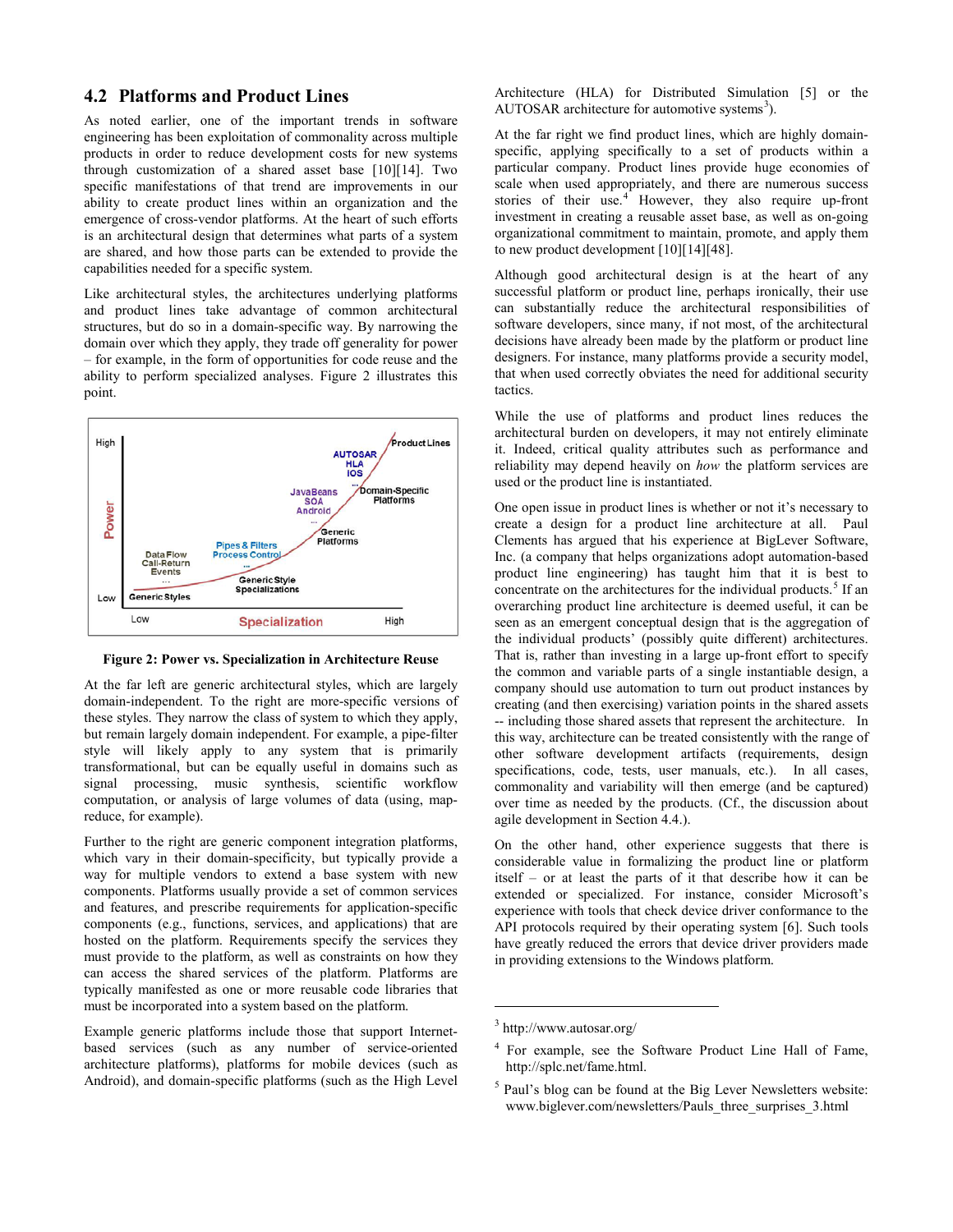#### <span id="page-3-4"></span>**4.2 Platforms and Product Lines**

As noted earlier, one of the important trends in software engineering has been exploitation of commonality across multiple products in order to reduce development costs for new systems through customization of a shared asset base [\[10\]\[14\].](#page-9-4) Two specific manifestations of that trend are improvements in our ability to create product lines within an organization and the emergence of cross-vendor platforms. At the heart of such efforts is an architectural design that determines what parts of a system are shared, and how those parts can be extended to provide the capabilities needed for a specific system.

Like architectural styles, the architectures underlying platforms and product lines take advantage of common architectural structures, but do so in a domain-specific way. By narrowing the domain over which they apply, they trade off generality for power – for example, in the form of opportunities for code reuse and the ability to perform specialized analyses. [Figure 2](#page-3-0) illustrates this point.



<span id="page-3-0"></span>**Figure 2: Power vs. Specialization in Architecture Reuse**

At the far left are generic architectural styles, which are largely domain-independent. To the right are more-specific versions of these styles. They narrow the class of system to which they apply, but remain largely domain independent. For example, a pipe-filter style will likely apply to any system that is primarily transformational, but can be equally useful in domains such as signal processing, music synthesis, scientific workflow computation, or analysis of large volumes of data (using, mapreduce, for example).

Further to the right are generic component integration platforms, which vary in their domain-specificity, but typically provide a way for multiple vendors to extend a base system with new components. Platforms usually provide a set of common services and features, and prescribe requirements for application-specific components (e.g., functions, services, and applications) that are hosted on the platform. Requirements specify the services they must provide to the platform, as well as constraints on how they can access the shared services of the platform. Platforms are typically manifested as one or more reusable code libraries that must be incorporated into a system based on the platform.

<span id="page-3-3"></span><span id="page-3-2"></span><span id="page-3-1"></span>Example generic platforms include those that support Internetbased services (such as any number of service-oriented architecture platforms), platforms for mobile devices (such as Android), and domain-specific platforms (such as the High Level

Architecture (HLA) for Distributed Simulation [\[5\]](#page-9-12) or the AUTOSAR architecture for automotive systems<sup>[3](#page-3-1)</sup>).

At the far right we find product lines, which are highly domainspecific, applying specifically to a set of products within a particular company. Product lines provide huge economies of scale when used appropriately, and there are numerous success stories of their use. $4$  However, they also require up-front investment in creating a reusable asset base, as well as on-going organizational commitment to maintain, promote, and apply them to new product development [\[10\]\[14\]](#page-9-4)[\[48\].](#page-10-12)

Although good architectural design is at the heart of any successful platform or product line, perhaps ironically, their use can substantially reduce the architectural responsibilities of software developers, since many, if not most, of the architectural decisions have already been made by the platform or product line designers. For instance, many platforms provide a security model, that when used correctly obviates the need for additional security tactics.

While the use of platforms and product lines reduces the architectural burden on developers, it may not entirely eliminate it. Indeed, critical quality attributes such as performance and reliability may depend heavily on *how* the platform services are used or the product line is instantiated.

One open issue in product lines is whether or not it's necessary to create a design for a product line architecture at all. Paul Clements has argued that his experience at BigLever Software, Inc. (a company that helps organizations adopt automation-based product line engineering) has taught him that it is best to concentrate on the architectures for the individual products.<sup>[5](#page-3-3)</sup> If an overarching product line architecture is deemed useful, it can be seen as an emergent conceptual design that is the aggregation of the individual products' (possibly quite different) architectures. That is, rather than investing in a large up-front effort to specify the common and variable parts of a single instantiable design, a company should use automation to turn out product instances by creating (and then exercising) variation points in the shared assets -- including those shared assets that represent the architecture. In this way, architecture can be treated consistently with the range of other software development artifacts (requirements, design specifications, code, tests, user manuals, etc.). In all cases, commonality and variability will then emerge (and be captured) over time as needed by the products. (Cf., the discussion about agile development in Section 4.4.).

On the other hand, other experience suggests that there is considerable value in formalizing the product line or platform itself – or at least the parts of it that describe how it can be extended or specialized. For instance, consider Microsoft's experience with tools that check device driver conformance to the API protocols required by their operating system [\[6\].](#page-9-13) Such tools have greatly reduced the errors that device driver providers made in providing extensions to the Windows platform.

1

 $<sup>5</sup>$  Paul's blog can be found at the Big Lever Newsletters website:</sup> www.biglever.com/newsletters/Pauls\_three\_surprises\_3.html

<sup>3</sup> http://www.autosar.org/

<sup>4</sup> For example, see the Software Product Line Hall of Fame, http://splc.net/fame.html.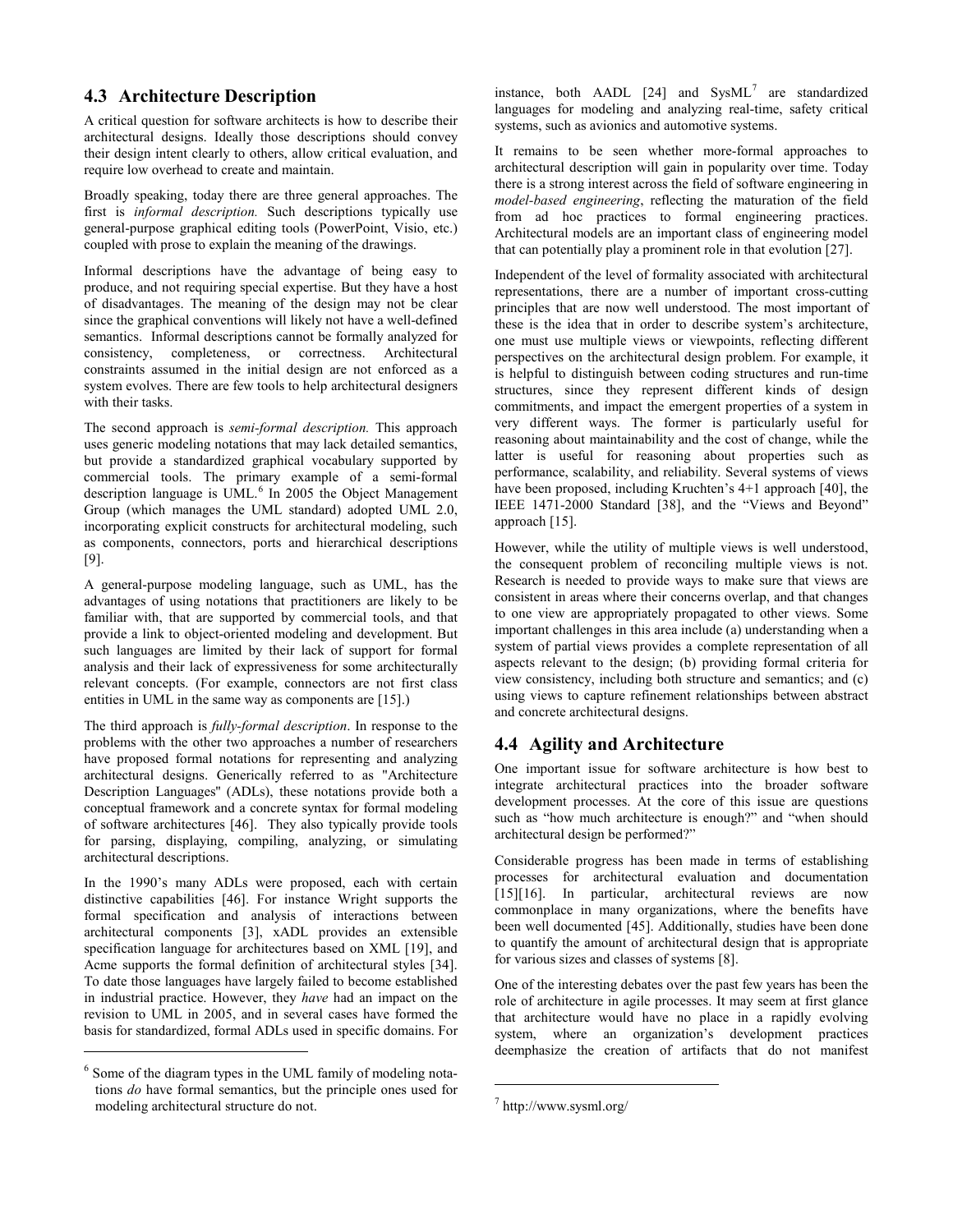## <span id="page-4-2"></span>**4.3 Architecture Description**

A critical question for software architects is how to describe their architectural designs. Ideally those descriptions should convey their design intent clearly to others, allow critical evaluation, and require low overhead to create and maintain.

Broadly speaking, today there are three general approaches. The first is *informal description.* Such descriptions typically use general-purpose graphical editing tools (PowerPoint, Visio, etc.) coupled with prose to explain the meaning of the drawings.

Informal descriptions have the advantage of being easy to produce, and not requiring special expertise. But they have a host of disadvantages. The meaning of the design may not be clear since the graphical conventions will likely not have a well-defined semantics. Informal descriptions cannot be formally analyzed for consistency, completeness, or correctness. Architectural constraints assumed in the initial design are not enforced as a system evolves. There are few tools to help architectural designers with their tasks.

The second approach is *semi-formal description.* This approach uses generic modeling notations that may lack detailed semantics, but provide a standardized graphical vocabulary supported by commercial tools. The primary example of a semi-formal description language is UML.<sup>[6](#page-4-0)</sup> In 2005 the Object Management Group (which manages the UML standard) adopted UML 2.0, incorporating explicit constructs for architectural modeling, such as components, connectors, ports and hierarchical descriptions [\[9\].](#page-9-14)

A general-purpose modeling language, such as UML, has the advantages of using notations that practitioners are likely to be familiar with, that are supported by commercial tools, and that provide a link to object-oriented modeling and development. But such languages are limited by their lack of support for formal analysis and their lack of expressiveness for some architecturally relevant concepts. (For example, connectors are not first class entities in UML in the same way as components are [\[15\].](#page-9-2))

The third approach is *fully-formal description*. In response to the problems with the other two approaches a number of researchers have proposed formal notations for representing and analyzing architectural designs. Generically referred to as "Architecture Description Languages'' (ADLs), these notations provide both a conceptual framework and a concrete syntax for formal modeling of software architectures [\[46\].](#page-10-5) They also typically provide tools for parsing, displaying, compiling, analyzing, or simulating architectural descriptions.

In the 1990's many ADLs were proposed, each with certain distinctive capabilities [\[46\].](#page-10-5) For instance Wright supports the formal specification and analysis of interactions between architectural components [\[3\],](#page-8-0) xADL provides an extensible specification language for architectures based on XML [\[19\],](#page-9-15) and Acme supports the formal definition of architectural styles [\[34\].](#page-9-16) To date those languages have largely failed to become established in industrial practice. However, they *have* had an impact on the revision to UML in 2005, and in several cases have formed the basis for standardized, formal ADLs used in specific domains. For

j

instance, both AADL  $[24]$  and SysML<sup>[7](#page-4-1)</sup> are standardized languages for modeling and analyzing real-time, safety critical systems, such as avionics and automotive systems.

It remains to be seen whether more-formal approaches to architectural description will gain in popularity over time. Today there is a strong interest across the field of software engineering in *model-based engineering*, reflecting the maturation of the field from ad hoc practices to formal engineering practices. Architectural models are an important class of engineering model that can potentially play a prominent role in that evolution [\[27\].](#page-9-18)

Independent of the level of formality associated with architectural representations, there are a number of important cross-cutting principles that are now well understood. The most important of these is the idea that in order to describe system's architecture, one must use multiple views or viewpoints, reflecting different perspectives on the architectural design problem. For example, it is helpful to distinguish between coding structures and run-time structures, since they represent different kinds of design commitments, and impact the emergent properties of a system in very different ways. The former is particularly useful for reasoning about maintainability and the cost of change, while the latter is useful for reasoning about properties such as performance, scalability, and reliability. Several systems of views have been proposed, including Kruchten's 4+1 approach [\[40\],](#page-10-13) the IEEE 1471-2000 Standard [\[38\],](#page-10-14) and the "Views and Beyond" approach [\[15\].](#page-9-2)

However, while the utility of multiple views is well understood, the consequent problem of reconciling multiple views is not. Research is needed to provide ways to make sure that views are consistent in areas where their concerns overlap, and that changes to one view are appropriately propagated to other views. Some important challenges in this area include (a) understanding when a system of partial views provides a complete representation of all aspects relevant to the design; (b) providing formal criteria for view consistency, including both structure and semantics; and (c) using views to capture refinement relationships between abstract and concrete architectural designs.

# **4.4 Agility and Architecture**

One important issue for software architecture is how best to integrate architectural practices into the broader software development processes. At the core of this issue are questions such as "how much architecture is enough?" and "when should architectural design be performed?"

Considerable progress has been made in terms of establishing processes for architectural evaluation and documentation [\[15\]\[16\].](#page-9-2) In particular, architectural reviews are now commonplace in many organizations, where the benefits have been well documented [\[45\].](#page-10-15) Additionally, studies have been done to quantify the amount of architectural design that is appropriate for various sizes and classes of system[s \[8\].](#page-9-7)

One of the interesting debates over the past few years has been the role of architecture in agile processes. It may seem at first glance that architecture would have no place in a rapidly evolving system, where an organization's development practices deemphasize the creation of artifacts that do not manifest

1

<span id="page-4-1"></span><span id="page-4-0"></span><sup>&</sup>lt;sup>6</sup> Some of the diagram types in the UML family of modeling notations *do* have formal semantics, but the principle ones used for modeling architectural structure do not.

<sup>7</sup> http://www.sysml.org/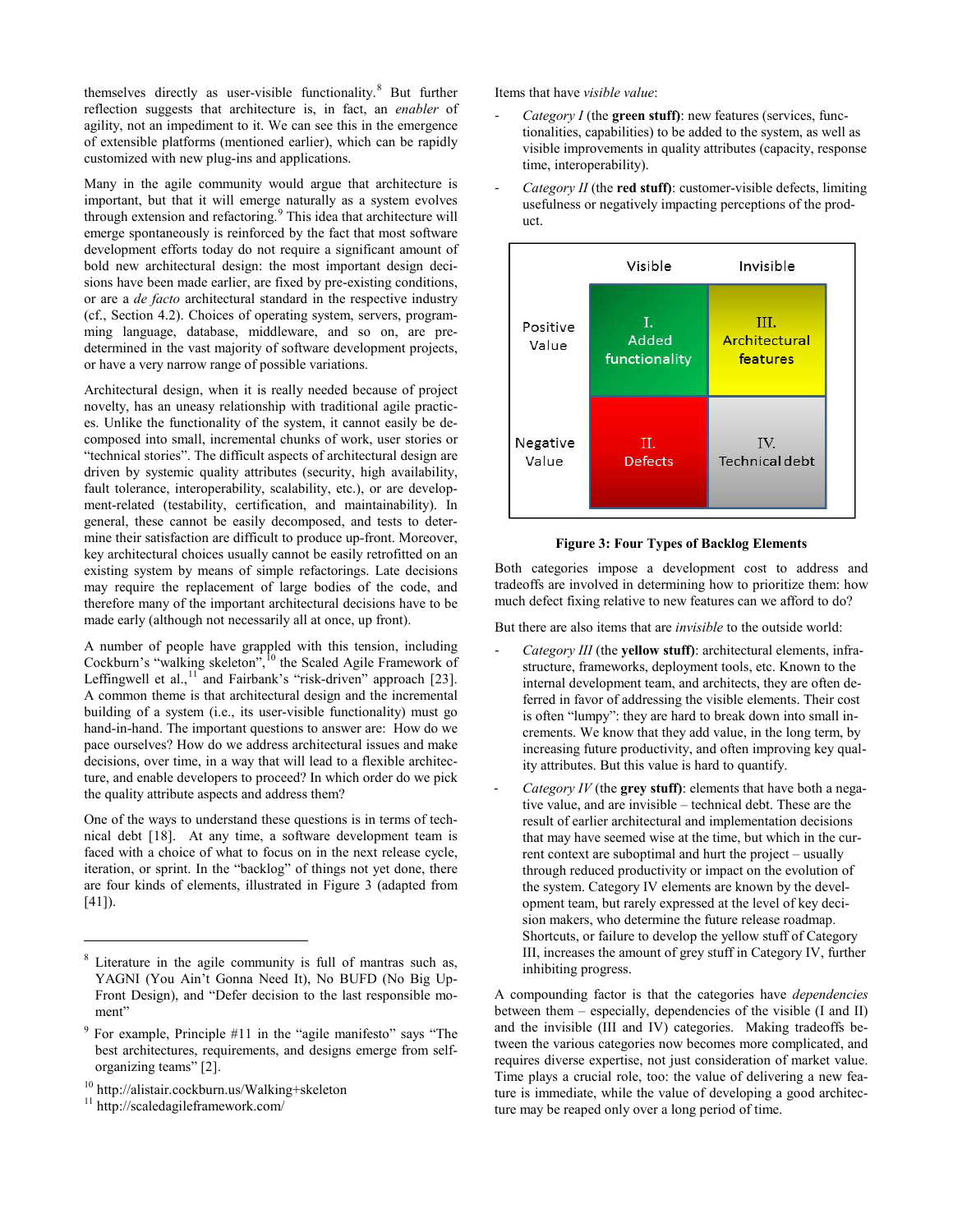themselves directly as user-visible functionality.<sup>[8](#page-5-1)</sup> But further reflection suggests that architecture is, in fact, an *enabler* of agility, not an impediment to it. We can see this in the emergence of extensible platforms (mentioned earlier), which can be rapidly customized with new plug-ins and applications.

Many in the agile community would argue that architecture is important, but that it will emerge naturally as a system evolves through extension and refactoring.<sup>[9](#page-5-2)</sup> This idea that architecture will emerge spontaneously is reinforced by the fact that most software development efforts today do not require a significant amount of bold new architectural design: the most important design decisions have been made earlier, are fixed by pre-existing conditions, or are a *de facto* architectural standard in the respective industry (cf., Section [4.2\)](#page-3-4). Choices of operating system, servers, programming language, database, middleware, and so on, are predetermined in the vast majority of software development projects, or have a very narrow range of possible variations.

Architectural design, when it is really needed because of project novelty, has an uneasy relationship with traditional agile practices. Unlike the functionality of the system, it cannot easily be decomposed into small, incremental chunks of work, user stories or "technical stories". The difficult aspects of architectural design are driven by systemic quality attributes (security, high availability, fault tolerance, interoperability, scalability, etc.), or are development-related (testability, certification, and maintainability). In general, these cannot be easily decomposed, and tests to determine their satisfaction are difficult to produce up-front. Moreover, key architectural choices usually cannot be easily retrofitted on an existing system by means of simple refactorings. Late decisions may require the replacement of large bodies of the code, and therefore many of the important architectural decisions have to be made early (although not necessarily all at once, up front).

A number of people have grappled with this tension, including Cockburn's "walking skeleton",<sup>[10](#page-5-3)</sup> the Scaled Agile Framework of Leffingwell et al., $^{11}$  $^{11}$  $^{11}$  and Fairbank's "risk-driven" approach [\[23\].](#page-9-6) A common theme is that architectural design and the incremental building of a system (i.e., its user-visible functionality) must go hand-in-hand. The important questions to answer are: How do we pace ourselves? How do we address architectural issues and make decisions, over time, in a way that will lead to a flexible architecture, and enable developers to proceed? In which order do we pick the quality attribute aspects and address them?

One of the ways to understand these questions is in terms of technical debt [\[18\].](#page-9-19) At any time, a software development team is faced with a choice of what to focus on in the next release cycle, iteration, or sprint. In the "backlog" of things not yet done, there are four kinds of elements, illustrated in [Figure 3](#page-5-0) (adapted from  $[41]$ ).

j

Items that have *visible value*:

- *Category I* (the **green stuff)**: new features (services, functionalities, capabilities) to be added to the system, as well as visible improvements in quality attributes (capacity, response time, interoperability).
- *Category II* (the **red stuff)**: customer-visible defects, limiting usefulness or negatively impacting perceptions of the product.





<span id="page-5-0"></span>Both categories impose a development cost to address and tradeoffs are involved in determining how to prioritize them: how much defect fixing relative to new features can we afford to do?

But there are also items that are *invisible* to the outside world:

- *Category III* (the **yellow stuff)**: architectural elements, infrastructure, frameworks, deployment tools, etc. Known to the internal development team, and architects, they are often deferred in favor of addressing the visible elements. Their cost is often "lumpy": they are hard to break down into small increments. We know that they add value, in the long term, by increasing future productivity, and often improving key quality attributes. But this value is hard to quantify.
- *Category IV* (the **grey stuff)**: elements that have both a negative value, and are invisible – technical debt. These are the result of earlier architectural and implementation decisions that may have seemed wise at the time, but which in the current context are suboptimal and hurt the project – usually through reduced productivity or impact on the evolution of the system. Category IV elements are known by the development team, but rarely expressed at the level of key decision makers, who determine the future release roadmap. Shortcuts, or failure to develop the yellow stuff of Category III, increases the amount of grey stuff in Category IV, further inhibiting progress.

A compounding factor is that the categories have *dependencies* between them – especially, dependencies of the visible (I and II) and the invisible (III and IV) categories. Making tradeoffs between the various categories now becomes more complicated, and requires diverse expertise, not just consideration of market value. Time plays a crucial role, too: the value of delivering a new feature is immediate, while the value of developing a good architecture may be reaped only over a long period of time.

<span id="page-5-1"></span><sup>8</sup> Literature in the agile community is full of mantras such as, YAGNI (You Ain't Gonna Need It), No BUFD (No Big Up-Front Design), and "Defer decision to the last responsible moment"

<span id="page-5-2"></span>For example, Principle #11 in the "agile manifesto" says "The best architectures, requirements, and designs emerge from selforganizing teams" [2].

<span id="page-5-3"></span><sup>&</sup>lt;sup>10</sup> http://alistair.cockburn.us/Walking+skeleton<sup>11</sup> http://scaledagileframework.com/

<span id="page-5-4"></span>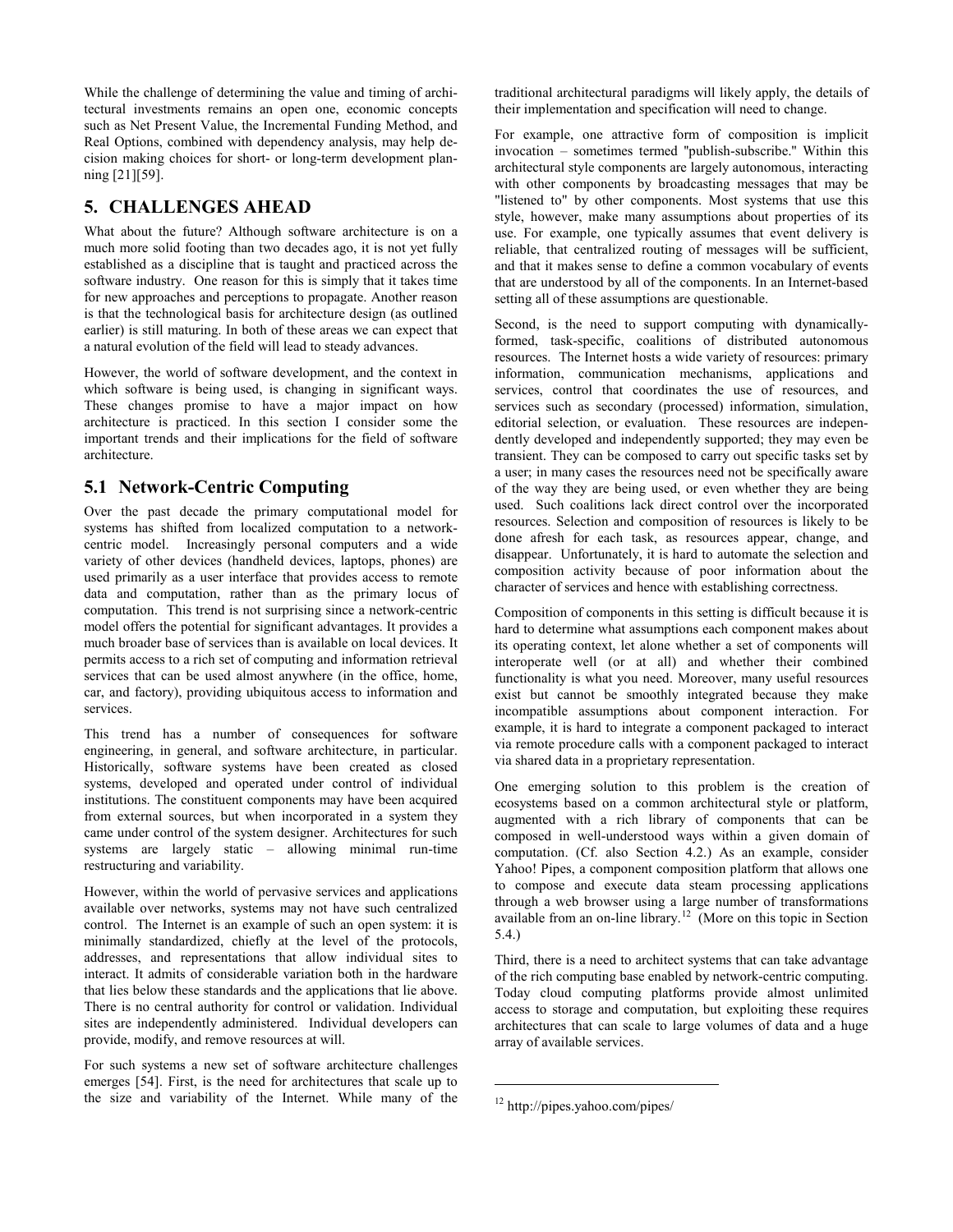While the challenge of determining the value and timing of architectural investments remains an open one, economic concepts such as Net Present Value, the Incremental Funding Method, and Real Options, combined with dependency analysis, may help decision making choices for short- or long-term development plannin[g \[21\]\[59\].](#page-9-20)

## **5. CHALLENGES AHEAD**

What about the future? Although software architecture is on a much more solid footing than two decades ago, it is not yet fully established as a discipline that is taught and practiced across the software industry. One reason for this is simply that it takes time for new approaches and perceptions to propagate. Another reason is that the technological basis for architecture design (as outlined earlier) is still maturing. In both of these areas we can expect that a natural evolution of the field will lead to steady advances.

However, the world of software development, and the context in which software is being used, is changing in significant ways. These changes promise to have a major impact on how architecture is practiced. In this section I consider some the important trends and their implications for the field of software architecture.

# **5.1 Network-Centric Computing**

Over the past decade the primary computational model for systems has shifted from localized computation to a networkcentric model. Increasingly personal computers and a wide variety of other devices (handheld devices, laptops, phones) are used primarily as a user interface that provides access to remote data and computation, rather than as the primary locus of computation. This trend is not surprising since a network-centric model offers the potential for significant advantages. It provides a much broader base of services than is available on local devices. It permits access to a rich set of computing and information retrieval services that can be used almost anywhere (in the office, home, car, and factory), providing ubiquitous access to information and services.

This trend has a number of consequences for software engineering, in general, and software architecture, in particular. Historically, software systems have been created as closed systems, developed and operated under control of individual institutions. The constituent components may have been acquired from external sources, but when incorporated in a system they came under control of the system designer. Architectures for such systems are largely static – allowing minimal run-time restructuring and variability.

However, within the world of pervasive services and applications available over networks, systems may not have such centralized control. The Internet is an example of such an open system: it is minimally standardized, chiefly at the level of the protocols, addresses, and representations that allow individual sites to interact. It admits of considerable variation both in the hardware that lies below these standards and the applications that lie above. There is no central authority for control or validation. Individual sites are independently administered. Individual developers can provide, modify, and remove resources at will.

<span id="page-6-0"></span>For such systems a new set of software architecture challenges emerges [\[54\].](#page-10-17) First, is the need for architectures that scale up to the size and variability of the Internet. While many of the traditional architectural paradigms will likely apply, the details of their implementation and specification will need to change.

For example, one attractive form of composition is implicit invocation – sometimes termed ''publish-subscribe.'' Within this architectural style components are largely autonomous, interacting with other components by broadcasting messages that may be "listened to" by other components. Most systems that use this style, however, make many assumptions about properties of its use. For example, one typically assumes that event delivery is reliable, that centralized routing of messages will be sufficient, and that it makes sense to define a common vocabulary of events that are understood by all of the components. In an Internet-based setting all of these assumptions are questionable.

Second, is the need to support computing with dynamicallyformed, task-specific, coalitions of distributed autonomous resources. The Internet hosts a wide variety of resources: primary information, communication mechanisms, applications and services, control that coordinates the use of resources, and services such as secondary (processed) information, simulation, editorial selection, or evaluation. These resources are independently developed and independently supported; they may even be transient. They can be composed to carry out specific tasks set by a user; in many cases the resources need not be specifically aware of the way they are being used, or even whether they are being used. Such coalitions lack direct control over the incorporated resources. Selection and composition of resources is likely to be done afresh for each task, as resources appear, change, and disappear. Unfortunately, it is hard to automate the selection and composition activity because of poor information about the character of services and hence with establishing correctness.

Composition of components in this setting is difficult because it is hard to determine what assumptions each component makes about its operating context, let alone whether a set of components will interoperate well (or at all) and whether their combined functionality is what you need. Moreover, many useful resources exist but cannot be smoothly integrated because they make incompatible assumptions about component interaction. For example, it is hard to integrate a component packaged to interact via remote procedure calls with a component packaged to interact via shared data in a proprietary representation.

One emerging solution to this problem is the creation of ecosystems based on a common architectural style or platform, augmented with a rich library of components that can be composed in well-understood ways within a given domain of computation. (Cf. also Section 4.2.) As an example, consider Yahoo! Pipes, a component composition platform that allows one to compose and execute data steam processing applications through a web browser using a large number of transformations available from an on-line library. [12](#page-6-0) (More on this topic in Section [5.4.\)](#page-7-0)

Third, there is a need to architect systems that can take advantage of the rich computing base enabled by network-centric computing. Today cloud computing platforms provide almost unlimited access to storage and computation, but exploiting these requires architectures that can scale to large volumes of data and a huge array of available services.

1

<sup>12</sup> http://pipes.yahoo.com/pipes/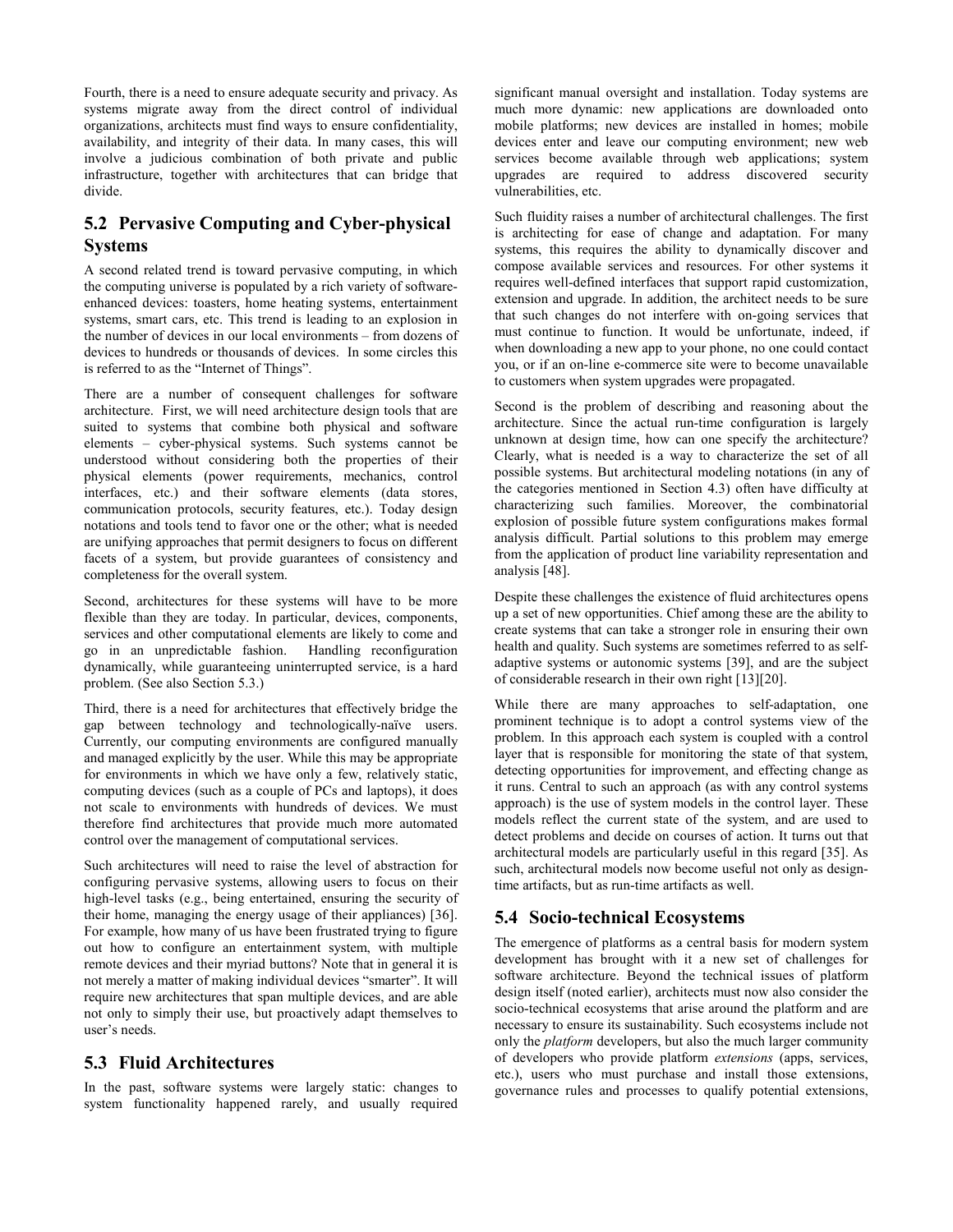Fourth, there is a need to ensure adequate security and privacy. As systems migrate away from the direct control of individual organizations, architects must find ways to ensure confidentiality, availability, and integrity of their data. In many cases, this will involve a judicious combination of both private and public infrastructure, together with architectures that can bridge that divide.

# **5.2 Pervasive Computing and Cyber-physical Systems**

A second related trend is toward pervasive computing, in which the computing universe is populated by a rich variety of softwareenhanced devices: toasters, home heating systems, entertainment systems, smart cars, etc. This trend is leading to an explosion in the number of devices in our local environments – from dozens of devices to hundreds or thousands of devices. In some circles this is referred to as the "Internet of Things".

There are a number of consequent challenges for software architecture. First, we will need architecture design tools that are suited to systems that combine both physical and software elements – cyber-physical systems. Such systems cannot be understood without considering both the properties of their physical elements (power requirements, mechanics, control interfaces, etc.) and their software elements (data stores, communication protocols, security features, etc.). Today design notations and tools tend to favor one or the other; what is needed are unifying approaches that permit designers to focus on different facets of a system, but provide guarantees of consistency and completeness for the overall system.

Second, architectures for these systems will have to be more flexible than they are today. In particular, devices, components, services and other computational elements are likely to come and go in an unpredictable fashion. Handling reconfiguration dynamically, while guaranteeing uninterrupted service, is a hard problem. (See also Section [5.3.\)](#page-7-1)

Third, there is a need for architectures that effectively bridge the gap between technology and technologically-naïve users. Currently, our computing environments are configured manually and managed explicitly by the user. While this may be appropriate for environments in which we have only a few, relatively static, computing devices (such as a couple of PCs and laptops), it does not scale to environments with hundreds of devices. We must therefore find architectures that provide much more automated control over the management of computational services.

Such architectures will need to raise the level of abstraction for configuring pervasive systems, allowing users to focus on their high-level tasks (e.g., being entertained, ensuring the security of their home, managing the energy usage of their appliances) [\[36\].](#page-10-18) For example, how many of us have been frustrated trying to figure out how to configure an entertainment system, with multiple remote devices and their myriad buttons? Note that in general it is not merely a matter of making individual devices "smarter". It will require new architectures that span multiple devices, and are able not only to simply their use, but proactively adapt themselves to user's needs.

## <span id="page-7-1"></span>**5.3 Fluid Architectures**

In the past, software systems were largely static: changes to system functionality happened rarely, and usually required significant manual oversight and installation. Today systems are much more dynamic: new applications are downloaded onto mobile platforms; new devices are installed in homes; mobile devices enter and leave our computing environment; new web services become available through web applications; system upgrades are required to address discovered security vulnerabilities, etc.

Such fluidity raises a number of architectural challenges. The first is architecting for ease of change and adaptation. For many systems, this requires the ability to dynamically discover and compose available services and resources. For other systems it requires well-defined interfaces that support rapid customization, extension and upgrade. In addition, the architect needs to be sure that such changes do not interfere with on-going services that must continue to function. It would be unfortunate, indeed, if when downloading a new app to your phone, no one could contact you, or if an on-line e-commerce site were to become unavailable to customers when system upgrades were propagated.

Second is the problem of describing and reasoning about the architecture. Since the actual run-time configuration is largely unknown at design time, how can one specify the architecture? Clearly, what is needed is a way to characterize the set of all possible systems. But architectural modeling notations (in any of the categories mentioned in Section [4.3\)](#page-4-2) often have difficulty at characterizing such families. Moreover, the combinatorial explosion of possible future system configurations makes formal analysis difficult. Partial solutions to this problem may emerge from the application of product line variability representation and analysis [\[48\].](#page-10-12)

Despite these challenges the existence of fluid architectures opens up a set of new opportunities. Chief among these are the ability to create systems that can take a stronger role in ensuring their own health and quality. Such systems are sometimes referred to as selfadaptive systems or autonomic systems [\[39\],](#page-10-19) and are the subject of considerable research in their own right [\[13\]\[20\].](#page-9-21)

While there are many approaches to self-adaptation, one prominent technique is to adopt a control systems view of the problem. In this approach each system is coupled with a control layer that is responsible for monitoring the state of that system, detecting opportunities for improvement, and effecting change as it runs. Central to such an approach (as with any control systems approach) is the use of system models in the control layer. These models reflect the current state of the system, and are used to detect problems and decide on courses of action. It turns out that architectural models are particularly useful in this regard [\[35\].](#page-9-22) As such, architectural models now become useful not only as designtime artifacts, but as run-time artifacts as well.

## <span id="page-7-0"></span>**5.4 Socio-technical Ecosystems**

The emergence of platforms as a central basis for modern system development has brought with it a new set of challenges for software architecture. Beyond the technical issues of platform design itself (noted earlier), architects must now also consider the socio-technical ecosystems that arise around the platform and are necessary to ensure its sustainability. Such ecosystems include not only the *platform* developers, but also the much larger community of developers who provide platform *extensions* (apps, services, etc.), users who must purchase and install those extensions, governance rules and processes to qualify potential extensions,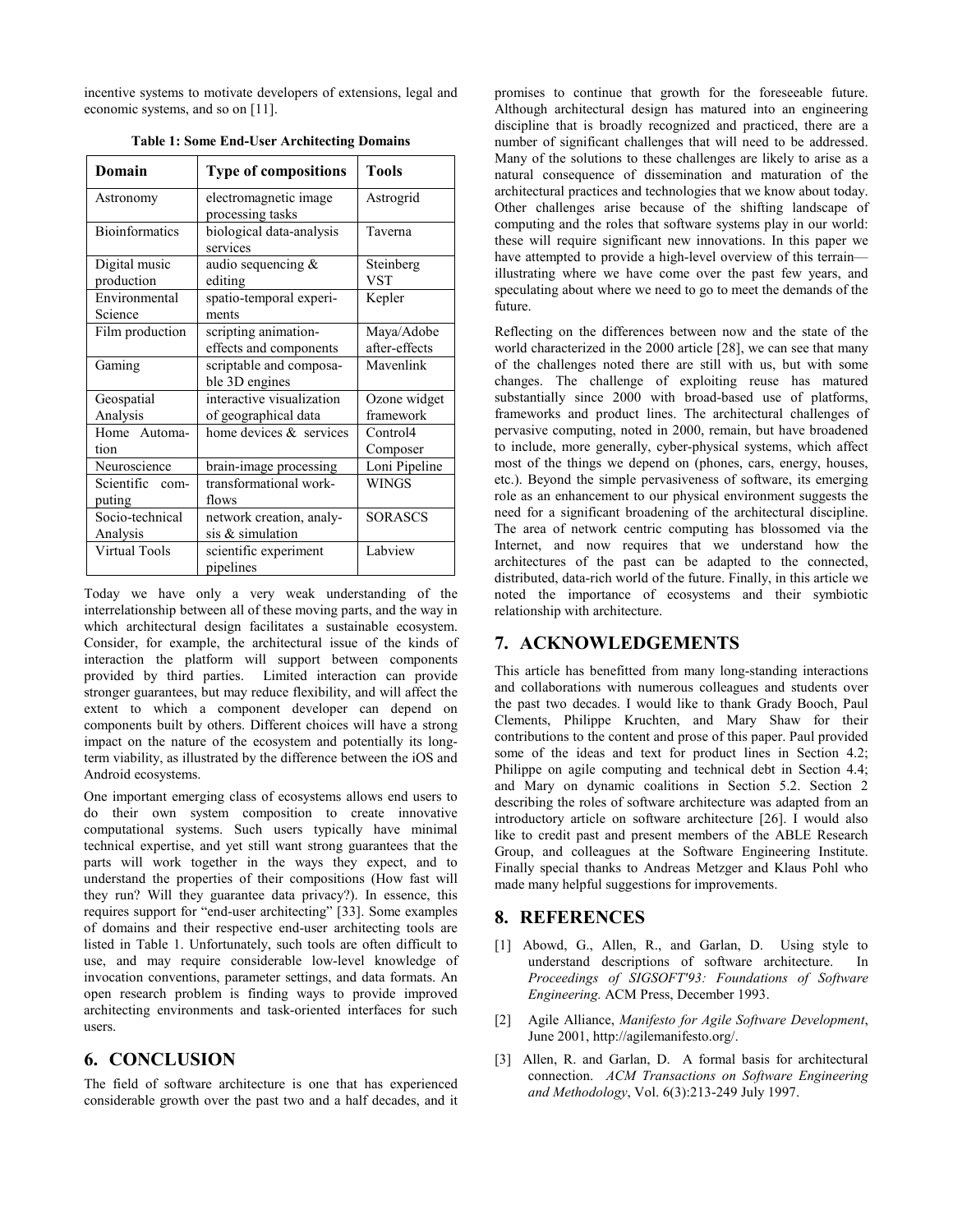<span id="page-8-2"></span>incentive systems to motivate developers of extensions, legal and economic systems, and so on [\[11\].](#page-9-23) 

| Domain                | <b>Type of compositions</b> | <b>Tools</b>   |
|-----------------------|-----------------------------|----------------|
| Astronomy             | electromagnetic image       | Astrogrid      |
|                       | processing tasks            |                |
| <b>Bioinformatics</b> | biological data-analysis    | Taverna        |
|                       | services                    |                |
| Digital music         | audio sequencing &          | Steinberg      |
| production            | editing                     | <b>VST</b>     |
| Environmental         | spatio-temporal experi-     | Kepler         |
| Science               | ments                       |                |
| Film production       | scripting animation-        | Maya/Adobe     |
|                       | effects and components      | after-effects  |
| Gaming                | scriptable and composa-     | Mavenlink      |
|                       | ble 3D engines              |                |
| Geospatial            | interactive visualization   | Ozone widget   |
| Analysis              | of geographical data        | framework      |
| Home Automa-          | home devices & services     | Control4       |
| tion                  |                             | Composer       |
| Neuroscience          | brain-image processing      | Loni Pipeline  |
| Scientific com-       | transformational work-      | <b>WINGS</b>   |
| puting                | flows                       |                |
| Socio-technical       | network creation, analy-    | <b>SORASCS</b> |
| Analysis              | sis & simulation            |                |
| Virtual Tools         | scientific experiment       | Labview        |
|                       | pipelines                   |                |

**Table 1: Some End-User Architecting Domains**

Today we have only a very weak understanding of the interrelationship between all of these moving parts, and the way in which architectural design facilitates a sustainable ecosystem. Consider, for example, the architectural issue of the kinds of interaction the platform will support between components provided by third parties. Limited interaction can provide stronger guarantees, but may reduce flexibility, and will affect the extent to which a component developer can depend on components built by others. Different choices will have a strong impact on the nature of the ecosystem and potentially its longterm viability, as illustrated by the difference between the iOS and Android ecosystems.

One important emerging class of ecosystems allows end users to do their own system composition to create innovative computational systems. Such users typically have minimal technical expertise, and yet still want strong guarantees that the parts will work together in the ways they expect, and to understand the properties of their compositions (How fast will they run? Will they guarantee data privacy?). In essence, this requires support for "end-user architecting" [\[33\].](#page-9-24) Some examples of domains and their respective end-user architecting tools are listed in [Table 1.](#page-8-2) Unfortunately, such tools are often difficult to use, and may require considerable low-level knowledge of invocation conventions, parameter settings, and data formats. An open research problem is finding ways to provide improved architecting environments and task-oriented interfaces for such users.

#### **6. CONCLUSION**

The field of software architecture is one that has experienced considerable growth over the past two and a half decades, and it promises to continue that growth for the foreseeable future. Although architectural design has matured into an engineering discipline that is broadly recognized and practiced, there are a number of significant challenges that will need to be addressed. Many of the solutions to these challenges are likely to arise as a natural consequence of dissemination and maturation of the architectural practices and technologies that we know about today. Other challenges arise because of the shifting landscape of computing and the roles that software systems play in our world: these will require significant new innovations. In this paper we have attempted to provide a high-level overview of this terrain illustrating where we have come over the past few years, and speculating about where we need to go to meet the demands of the future.

Reflecting on the differences between now and the state of the world characterized in the 2000 article [\[28\],](#page-9-0) we can see that many of the challenges noted there are still with us, but with some changes. The challenge of exploiting reuse has matured substantially since 2000 with broad-based use of platforms, frameworks and product lines. The architectural challenges of pervasive computing, noted in 2000, remain, but have broadened to include, more generally, cyber-physical systems, which affect most of the things we depend on (phones, cars, energy, houses, etc.). Beyond the simple pervasiveness of software, its emerging role as an enhancement to our physical environment suggests the need for a significant broadening of the architectural discipline. The area of network centric computing has blossomed via the Internet, and now requires that we understand how the architectures of the past can be adapted to the connected, distributed, data-rich world of the future. Finally, in this article we noted the importance of ecosystems and their symbiotic relationship with architecture.

## **7. ACKNOWLEDGEMENTS**

This article has benefitted from many long-standing interactions and collaborations with numerous colleagues and students over the past two decades. I would like to thank Grady Booch, Paul Clements, Philippe Kruchten, and Mary Shaw for their contributions to the content and prose of this paper. Paul provided some of the ideas and text for product lines in Section 4.2; Philippe on agile computing and technical debt in Section 4.4; and Mary on dynamic coalitions in Section 5.2. Section 2 describing the roles of software architecture was adapted from an introductory article on software architecture [\[26\].](#page-9-25) I would also like to credit past and present members of the ABLE Research Group, and colleagues at the Software Engineering Institute. Finally special thanks to Andreas Metzger and Klaus Pohl who made many helpful suggestions for improvements.

## **8. REFERENCES**

- <span id="page-8-1"></span>[1] Abowd, G., Allen, R., and Garlan, D. Using style to understand descriptions of software architecture. In *Proceedings of SIGSOFT'93: Foundations of Software Engineering.* ACM Press, December 1993.
- [2] Agile Alliance, *Manifesto for Agile Software Development*, June 2001, [http://agilemanifesto.org/.](http://agilemanifesto.org/)
- <span id="page-8-0"></span>[3] Allen, R. and Garlan, D. A formal basis for architectural connection. *ACM Transactions on Software Engineering and Methodology*, Vol. 6(3):213-249 July 1997.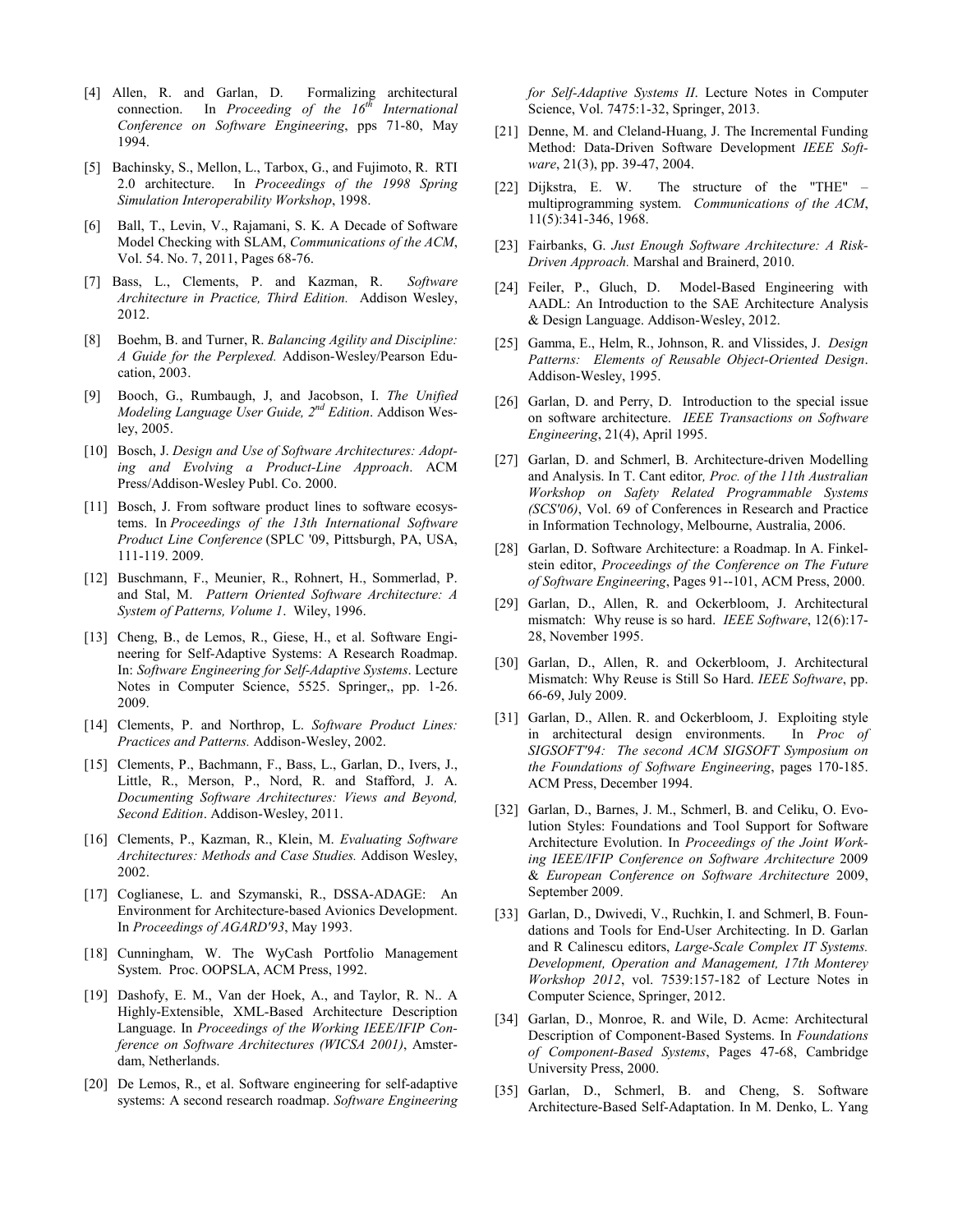- [4] Allen, R. and Garlan, D. Formalizing architectural connection. In *Proceeding of the 16th International Conference on Software Engineering*, pps 71-80, May 1994.
- <span id="page-9-12"></span>[5] Bachinsky, S., Mellon, L., Tarbox, G., and Fujimoto, R. RTI 2.0 architecture. In *Proceedings of the 1998 Spring Simulation Interoperability Workshop*, 1998.
- <span id="page-9-13"></span>[6] Ball, T., Levin, V., Rajamani, S. K. A Decade of Software Model Checking with SLAM, *Communications of the ACM*, Vol. 54. No. 7, 2011, Pages 68-76.
- <span id="page-9-9"></span>[7] Bass, L., Clements, P. and Kazman, R. *Software Architecture in Practice, Third Edition.* Addison Wesley, 2012.
- <span id="page-9-7"></span>[8] Boehm, B. and Turner, R. *Balancing Agility and Discipline: A Guide for the Perplexed.* Addison-Wesley/Pearson Education, 2003.
- <span id="page-9-14"></span>[9] Booch, G., Rumbaugh, J, and Jacobson, I. *The Unified Modeling Language User Guide, 2nd Edition*. Addison Wesley, 2005.
- <span id="page-9-4"></span>[10] Bosch, J. *Design and Use of Software Architectures: Adopting and Evolving a Product-Line Approach*. ACM Press/Addison-Wesley Publ. Co. 2000.
- <span id="page-9-23"></span>[11] Bosch, J. From software product lines to software ecosystems. In *Proceedings of the 13th International Software Product Line Conference* (SPLC '09, Pittsburgh, PA, USA, 111-119. 2009.
- <span id="page-9-1"></span>[12] Buschmann, F., Meunier, R., Rohnert, H., Sommerlad, P. and Stal, M. *Pattern Oriented Software Architecture: A System of Patterns, Volume 1*. Wiley, 1996.
- <span id="page-9-21"></span>[13] Cheng, B., de Lemos, R., Giese, H., et al. Software Engineering for Self-Adaptive Systems: A Research Roadmap. In: *Software Engineering for Self-Adaptive Systems*. Lecture Notes in Computer Science, 5525. Springer,, pp. 1-26. 2009.
- [14] Clements, P. and Northrop, L. *Software Product Lines: Practices and Patterns.* Addison-Wesley, 2002.
- <span id="page-9-2"></span>[15] Clements, P., Bachmann, F., Bass, L., Garlan, D., Ivers, J., Little, R., Merson, P., Nord, R. and Stafford, J. A. *Documenting Software Architectures: Views and Beyond, Second Edition*. Addison-Wesley, 2011.
- <span id="page-9-5"></span>[16] Clements, P., Kazman, R., Klein, M. *Evaluating Software Architectures: Methods and Case Studies.* Addison Wesley, 2002.
- [17] Coglianese, L. and Szymanski, R., DSSA-ADAGE: An Environment for Architecture-based Avionics Development. In *Proceedings of AGARD'93*, May 1993.
- <span id="page-9-19"></span>[18] Cunningham, W. The WyCash Portfolio Management System. Proc. OOPSLA, ACM Press, 1992.
- <span id="page-9-15"></span>[19] Dashofy, E. M., Van der Hoek, A., and Taylor, R. N.. A Highly-Extensible, XML-Based Architecture Description Language. In *Proceedings of the Working IEEE/IFIP Conference on Software Architectures (WICSA 2001)*, Amsterdam, Netherlands.
- [20] De Lemos, R., et al. Software engineering for self-adaptive systems: A second research roadmap. *Software Engineering*

*for Self-Adaptive Systems II*. Lecture Notes in Computer Science, Vol. 7475:1-32, Springer, 2013.

- <span id="page-9-20"></span>[21] Denne, M. and Cleland-Huang, J. The Incremental Funding Method: Data-Driven Software Development *IEEE Software*, 21(3), pp. 39-47, 2004.
- <span id="page-9-8"></span>[22] Dijkstra, E. W. The structure of the "THE" – multiprogramming system. *Communications of the ACM*, 11(5):341-346, 1968.
- <span id="page-9-6"></span>[23] Fairbanks, G. *Just Enough Software Architecture: A Risk-Driven Approach.* Marshal and Brainerd, 2010.
- <span id="page-9-17"></span>[24] Feiler, P., Gluch, D. Model-Based Engineering with AADL: An Introduction to the SAE Architecture Analysis & Design Language. Addison-Wesley, 2012.
- <span id="page-9-10"></span>[25] Gamma, E., Helm, R., Johnson, R. and Vlissides, J. *Design Patterns: Elements of Reusable Object-Oriented Design*. Addison-Wesley, 1995.
- <span id="page-9-25"></span>[26] Garlan, D. and Perry, D. Introduction to the special issue on software architecture. *IEEE Transactions on Software Engineering*, 21(4), April 1995.
- <span id="page-9-18"></span>[27] Garlan, D. and Schmerl, B. Architecture-driven Modelling and Analysis. In T. Cant editor*, Proc. of the 11th Australian Workshop on Safety Related Programmable Systems (SCS'06)*, Vol. 69 of Conferences in Research and Practice in Information Technology, Melbourne, Australia, 2006.
- <span id="page-9-0"></span>[28] Garlan, D. Software Architecture: a Roadmap. In A. Finkelstein editor, *Proceedings of the Conference on The Future of Software Engineering*, Pages 91--101, ACM Press, 2000.
- <span id="page-9-11"></span>[29] Garlan, D., Allen, R. and Ockerbloom, J. Architectural mismatch: Why reuse is so hard. *IEEE Software*, 12(6):17- 28, November 1995.
- [30] Garlan, D., Allen, R. and Ockerbloom, J. Architectural Mismatch: Why Reuse is Still So Hard. *IEEE Software*, pp. 66-69, July 2009.
- [31] Garlan, D., Allen. R. and Ockerbloom, J. Exploiting style in architectural design environments. In *Proc of SIGSOFT'94: The second ACM SIGSOFT Symposium on the Foundations of Software Engineering*, pages 170-185. ACM Press, December 1994.
- <span id="page-9-3"></span>[32] Garlan, D., Barnes, J. M., Schmerl, B. and Celiku, O. Evolution Styles: Foundations and Tool Support for Software Architecture Evolution. In *Proceedings of the Joint Working IEEE/IFIP Conference on Software Architecture* 2009 & *European Conference on Software Architecture* 2009, September 2009.
- <span id="page-9-24"></span>[33] Garlan, D., Dwivedi, V., Ruchkin, I. and Schmerl, B. Foundations and Tools for End-User Architecting. In D. Garlan and R Calinescu editors, *Large-Scale Complex IT Systems. Development, Operation and Management, 17th Monterey Workshop 2012*, vol. 7539:157-182 of Lecture Notes in Computer Science, Springer, 2012.
- <span id="page-9-16"></span>[34] Garlan, D., Monroe, R. and Wile, D. Acme: Architectural Description of Component-Based Systems. In *Foundations of Component-Based Systems*, Pages 47-68, Cambridge University Press, 2000.
- <span id="page-9-22"></span>[35] Garlan, D., Schmerl, B. and Cheng, S. Software Architecture-Based Self-Adaptation. In M. Denko, L. Yang